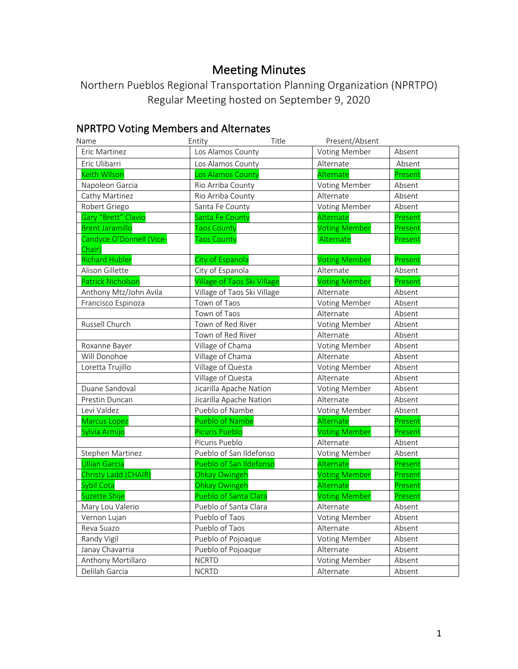# Meeting Minutes

Northern Pueblos Regional Transportation Planning Organization (NPRTPO) Regular Meeting hosted on September 9, 2020

# NPRTPO Voting Members and Alternates

| Name                               | Entity                             | Title | Present/Absent       |         |
|------------------------------------|------------------------------------|-------|----------------------|---------|
| Eric Martinez                      | Los Alamos County                  |       | <b>Voting Member</b> | Absent  |
| Eric Ulibarri                      | Los Alamos County                  |       | Alternate            | Absent  |
| <b>Keith Wilson</b>                | Los Alamos County                  |       | Alternate            | Present |
| Napoleon Garcia                    | Rio Arriba County                  |       | Voting Member        | Absent  |
| Cathy Martinez                     | Rio Arriba County                  |       | Alternate            | Absent  |
| Robert Griego                      | Santa Fe County                    |       | <b>Voting Member</b> | Absent  |
| Gary "Brett" Clavio                | Santa Fe County                    |       | Alternate            | Present |
| <b>Brent Jaramillo</b>             | <b>Taos County</b>                 |       | <b>Voting Member</b> | Present |
| Candyce O'Donnell (Vice-<br>Chair) | <b>Taos County</b>                 |       | Alternate            | Present |
| <b>Richard Hubler</b>              | City of Espanola                   |       | <b>Voting Member</b> | Present |
| Alison Gillette                    | City of Espanola                   |       | Alternate            | Absent  |
| <b>Patrick Nicholsor</b>           | <b>Village of Taos Ski Village</b> |       | <b>Voting Member</b> | Present |
| Anthony Mtz/John Avila             | Village of Taos Ski Village        |       | Alternate            | Absent  |
| Francisco Espinoza                 | Town of Taos                       |       | <b>Voting Member</b> | Absent  |
|                                    | Town of Taos                       |       | Alternate            | Absent  |
| Russell Church                     | Town of Red River                  |       | <b>Voting Member</b> | Absent  |
|                                    | Town of Red River                  |       | Alternate            | Absent  |
| Roxanne Bayer                      | Village of Chama                   |       | <b>Voting Member</b> | Absent  |
| Will Donohoe                       | Village of Chama                   |       | Alternate            | Absent  |
| Loretta Trujillo                   | Village of Questa                  |       | <b>Voting Member</b> | Absent  |
|                                    | Village of Questa                  |       | Alternate            | Absent  |
| Duane Sandoval                     | Jicarilla Apache Nation            |       | <b>Voting Member</b> | Absent  |
| Prestin Duncan                     | Jicarilla Apache Nation            |       | Alternate            | Absent  |
| Levi Valdez                        | Pueblo of Nambe                    |       | Voting Member        | Absent  |
| <b>Marcus Lopez</b>                | Pueblo of Nambe                    |       | Alternate            | Present |
| Sylvia Armijo                      | Picuris Pueblo                     |       | <b>Voting Member</b> | Present |
|                                    | Picuris Pueblo                     |       | Alternate            | Absent  |
| Stephen Martinez                   | Pueblo of San Ildefonso            |       | Voting Member        | Absent  |
| <b>Lillian Garcia</b>              | Pueblo of San Ildefonso            |       | Alternate            | Present |
| Christy Ladd (CHAIR)               | Ohkay Owingeh                      |       | <b>Voting Member</b> | Present |
| <b>Sybil Cota</b>                  | Ohkay Owingeh                      |       | Alternate            | Present |
| Suzette Shije                      | Pueblo of Santa Clara              |       | <b>Voting Member</b> | Present |
| Mary Lou Valerio                   | Pueblo of Santa Clara              |       | Alternate            | Absent  |
| Vernon Lujan                       | Pueblo of Taos                     |       | Voting Member        | Absent  |
| Reva Suazo                         | Pueblo of Taos                     |       | Alternate            | Absent  |
| Randy Vigil                        | Pueblo of Pojoaque                 |       | <b>Voting Member</b> | Absent  |
| Janay Chavarria                    | Pueblo of Pojoaque                 |       | Alternate            | Absent  |
| Anthony Mortillaro                 | <b>NCRTD</b>                       |       | <b>Voting Member</b> | Absent  |
| Delilah Garcia                     | <b>NCRTD</b>                       |       | Alternate            | Absent  |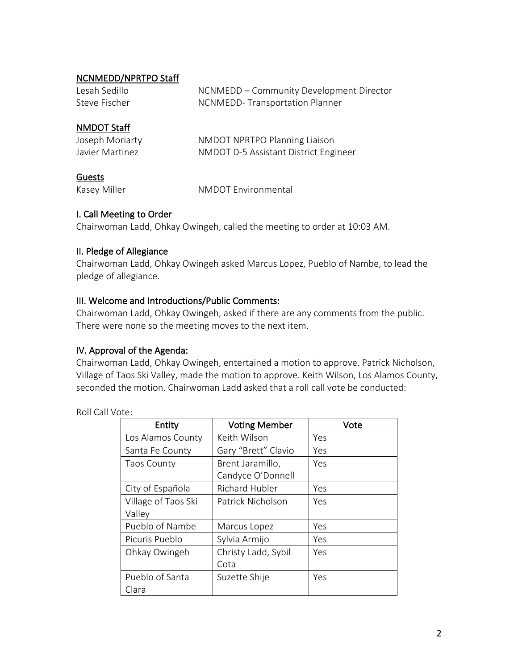#### NCNMEDD/NPRTPO Staff

| Lesah Sedillo | NCNMEDD – Community Development Director |
|---------------|------------------------------------------|
| Steve Fischer | NCNMEDD-Transportation Planner           |

#### NMDOT Staff

| Joseph Moriarty | NMDOT NPRTPO Planning Liaison         |
|-----------------|---------------------------------------|
| Javier Martinez | NMDOT D-5 Assistant District Engineer |

#### Guests

Kasey Miller NMDOT Environmental

## I. Call Meeting to Order

Chairwoman Ladd, Ohkay Owingeh, called the meeting to order at 10:03 AM.

#### II. Pledge of Allegiance

Chairwoman Ladd, Ohkay Owingeh asked Marcus Lopez, Pueblo of Nambe, to lead the pledge of allegiance.

#### III. Welcome and Introductions/Public Comments:

Chairwoman Ladd, Ohkay Owingeh, asked if there are any comments from the public. There were none so the meeting moves to the next item.

## IV. Approval of the Agenda:

Chairwoman Ladd, Ohkay Owingeh, entertained a motion to approve. Patrick Nicholson, Village of Taos Ski Valley, made the motion to approve. Keith Wilson, Los Alamos County, seconded the motion. Chairwoman Ladd asked that a roll call vote be conducted:

Roll Call Vote:

| Entity              | <b>Voting Member</b>  | Vote |
|---------------------|-----------------------|------|
| Los Alamos County   | Keith Wilson          | Yes  |
| Santa Fe County     | Gary "Brett" Clavio   | Yes  |
| <b>Taos County</b>  | Brent Jaramillo,      | Yes  |
|                     | Candyce O'Donnell     |      |
| City of Española    | <b>Richard Hubler</b> | Yes  |
| Village of Taos Ski | Patrick Nicholson     | Yes  |
| Valley              |                       |      |
| Pueblo of Nambe     | Marcus Lopez          | Yes  |
| Picuris Pueblo      | Sylvia Armijo         | Yes  |
| Ohkay Owingeh       | Christy Ladd, Sybil   | Yes  |
|                     | Cota                  |      |
| Pueblo of Santa     | Suzette Shije         | Yes  |
| Clara               |                       |      |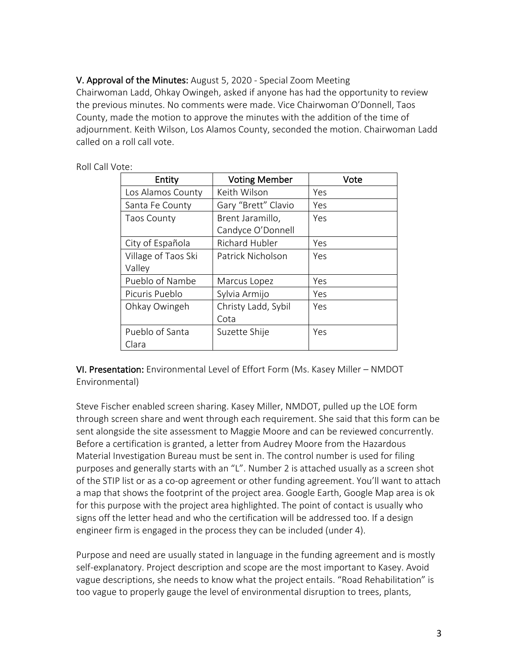V. Approval of the Minutes: August 5, 2020 - Special Zoom Meeting Chairwoman Ladd, Ohkay Owingeh, asked if anyone has had the opportunity to review the previous minutes. No comments were made. Vice Chairwoman O'Donnell, Taos County, made the motion to approve the minutes with the addition of the time of adjournment. Keith Wilson, Los Alamos County, seconded the motion. Chairwoman Ladd called on a roll call vote.

| Entity              | <b>Voting Member</b> | Vote |
|---------------------|----------------------|------|
| Los Alamos County   | Keith Wilson         | Yes  |
| Santa Fe County     | Gary "Brett" Clavio  | Yes  |
| <b>Taos County</b>  | Brent Jaramillo,     | Yes  |
|                     | Candyce O'Donnell    |      |
| City of Española    | Richard Hubler       | Yes  |
| Village of Taos Ski | Patrick Nicholson    | Yes  |
| Valley              |                      |      |
| Pueblo of Nambe     | Marcus Lopez         | Yes  |
| Picuris Pueblo      | Sylvia Armijo        | Yes  |
| Ohkay Owingeh       | Christy Ladd, Sybil  | Yes  |
|                     | Cota                 |      |
| Pueblo of Santa     | Suzette Shije        | Yes  |
| Clara               |                      |      |

Roll Call Vote:

VI. Presentation: Environmental Level of Effort Form (Ms. Kasey Miller – NMDOT Environmental)

Steve Fischer enabled screen sharing. Kasey Miller, NMDOT, pulled up the LOE form through screen share and went through each requirement. She said that this form can be sent alongside the site assessment to Maggie Moore and can be reviewed concurrently. Before a certification is granted, a letter from Audrey Moore from the Hazardous Material Investigation Bureau must be sent in. The control number is used for filing purposes and generally starts with an "L". Number 2 is attached usually as a screen shot of the STIP list or as a co-op agreement or other funding agreement. You'll want to attach a map that shows the footprint of the project area. Google Earth, Google Map area is ok for this purpose with the project area highlighted. The point of contact is usually who signs off the letter head and who the certification will be addressed too. If a design engineer firm is engaged in the process they can be included (under 4).

Purpose and need are usually stated in language in the funding agreement and is mostly self-explanatory. Project description and scope are the most important to Kasey. Avoid vague descriptions, she needs to know what the project entails. "Road Rehabilitation" is too vague to properly gauge the level of environmental disruption to trees, plants,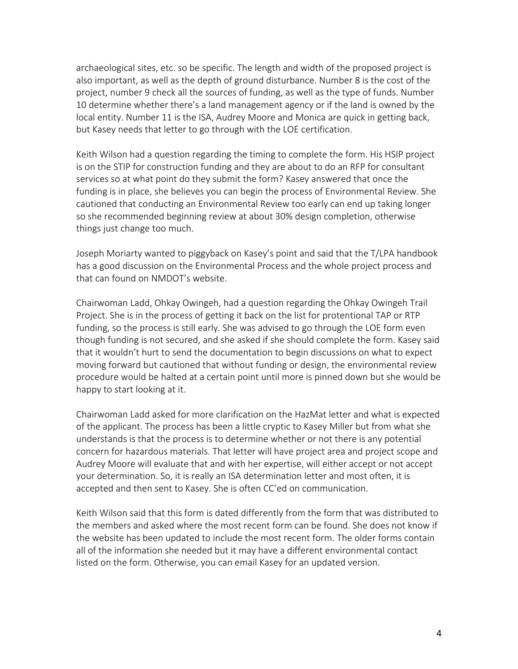archaeological sites, etc. so be specific. The length and width of the proposed project is also important, as well as the depth of ground disturbance. Number 8 is the cost of the project, number 9 check all the sources of funding, as well as the type of funds. Number 10 determine whether there's a land management agency or if the land is owned by the local entity. Number 11 is the ISA, Audrey Moore and Monica are quick in getting back, but Kasey needs that letter to go through with the LOE certification.

Keith Wilson had a question regarding the timing to complete the form. His HSIP project is on the STIP for construction funding and they are about to do an RFP for consultant services so at what point do they submit the form? Kasey answered that once the funding is in place, she believes you can begin the process of Environmental Review. She cautioned that conducting an Environmental Review too early can end up taking longer so she recommended beginning review at about 30% design completion, otherwise things just change too much.

Joseph Moriarty wanted to piggyback on Kasey's point and said that the T/LPA handbook has a good discussion on the Environmental Process and the whole project process and that can found on NMDOT's website.

Chairwoman Ladd, Ohkay Owingeh, had a question regarding the Ohkay Owingeh Trail Project. She is in the process of getting it back on the list for protentional TAP or RTP funding, so the process is still early. She was advised to go through the LOE form even though funding is not secured, and she asked if she should complete the form. Kasey said that it wouldn't hurt to send the documentation to begin discussions on what to expect moving forward but cautioned that without funding or design, the environmental review procedure would be halted at a certain point until more is pinned down but she would be happy to start looking at it.

Chairwoman Ladd asked for more clarification on the HazMat letter and what is expected of the applicant. The process has been a little cryptic to Kasey Miller but from what she understands is that the process is to determine whether or not there is any potential concern for hazardous materials. That letter will have project area and project scope and Audrey Moore will evaluate that and with her expertise, will either accept or not accept your determination. So, it is really an ISA determination letter and most often, it is accepted and then sent to Kasey. She is often CC'ed on communication.

Keith Wilson said that this form is dated differently from the form that was distributed to the members and asked where the most recent form can be found. She does not know if the website has been updated to include the most recent form. The older forms contain all of the information she needed but it may have a different environmental contact listed on the form. Otherwise, you can email Kasey for an updated version.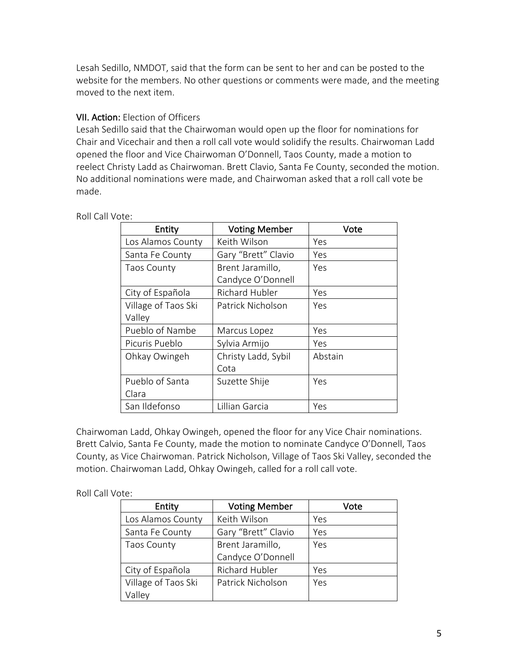Lesah Sedillo, NMDOT, said that the form can be sent to her and can be posted to the website for the members. No other questions or comments were made, and the meeting moved to the next item.

## VII. Action: Election of Officers

Lesah Sedillo said that the Chairwoman would open up the floor for nominations for Chair and Vicechair and then a roll call vote would solidify the results. Chairwoman Ladd opened the floor and Vice Chairwoman O'Donnell, Taos County, made a motion to reelect Christy Ladd as Chairwoman. Brett Clavio, Santa Fe County, seconded the motion. No additional nominations were made, and Chairwoman asked that a roll call vote be made.

| Entity              | <b>Voting Member</b>  | Vote    |
|---------------------|-----------------------|---------|
| Los Alamos County   | Keith Wilson          | Yes     |
| Santa Fe County     | Gary "Brett" Clavio   | Yes     |
| <b>Taos County</b>  | Brent Jaramillo,      | Yes     |
|                     | Candyce O'Donnell     |         |
| City of Española    | <b>Richard Hubler</b> | Yes     |
| Village of Taos Ski | Patrick Nicholson     | Yes     |
| Valley              |                       |         |
| Pueblo of Nambe     | Marcus Lopez          | Yes     |
| Picuris Pueblo      | Sylvia Armijo         | Yes     |
| Ohkay Owingeh       | Christy Ladd, Sybil   | Abstain |
|                     | Cota                  |         |
| Pueblo of Santa     | Suzette Shije         | Yes     |
| Clara               |                       |         |
| San Ildefonso       | Lillian Garcia        | Yes     |

Roll Call Vote:

Chairwoman Ladd, Ohkay Owingeh, opened the floor for any Vice Chair nominations. Brett Calvio, Santa Fe County, made the motion to nominate Candyce O'Donnell, Taos County, as Vice Chairwoman. Patrick Nicholson, Village of Taos Ski Valley, seconded the motion. Chairwoman Ladd, Ohkay Owingeh, called for a roll call vote.

| Entity              | <b>Voting Member</b>  | Vote |
|---------------------|-----------------------|------|
| Los Alamos County   | Keith Wilson          | Yes  |
| Santa Fe County     | Gary "Brett" Clavio   | Yes  |
| <b>Taos County</b>  | Brent Jaramillo,      | Yes  |
|                     | Candyce O'Donnell     |      |
| City of Española    | <b>Richard Hubler</b> | Yes  |
| Village of Taos Ski | Patrick Nicholson     | Yes  |
| Valley              |                       |      |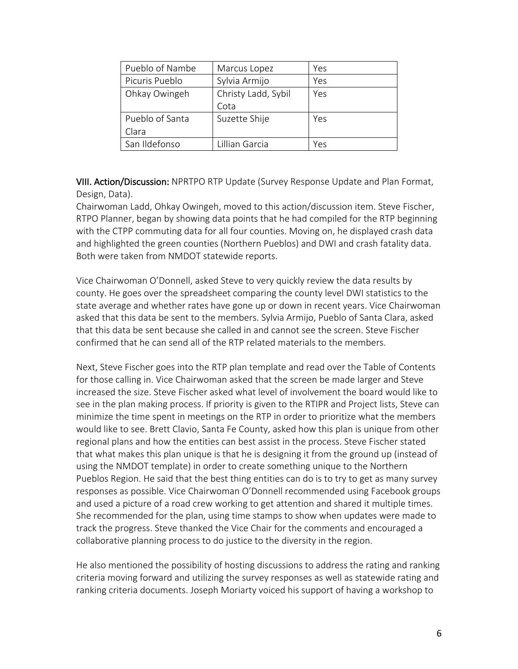| Pueblo of Nambe | Marcus Lopez        | Yes |
|-----------------|---------------------|-----|
| Picuris Pueblo  | Sylvia Armijo       | Yes |
| Ohkay Owingeh   | Christy Ladd, Sybil | Yes |
|                 | Cota                |     |
| Pueblo of Santa | Suzette Shije       | Yes |
| Clara           |                     |     |
| San Ildefonso   | Lillian Garcia      | Yes |

VIII. Action/Discussion: NPRTPO RTP Update (Survey Response Update and Plan Format, Design, Data).

Chairwoman Ladd, Ohkay Owingeh, moved to this action/discussion item. Steve Fischer, RTPO Planner, began by showing data points that he had compiled for the RTP beginning with the CTPP commuting data for all four counties. Moving on, he displayed crash data and highlighted the green counties (Northern Pueblos) and DWI and crash fatality data. Both were taken from NMDOT statewide reports.

Vice Chairwoman O'Donnell, asked Steve to very quickly review the data results by county. He goes over the spreadsheet comparing the county level DWI statistics to the state average and whether rates have gone up or down in recent years. Vice Chairwoman asked that this data be sent to the members. Sylvia Armijo, Pueblo of Santa Clara, asked that this data be sent because she called in and cannot see the screen. Steve Fischer confirmed that he can send all of the RTP related materials to the members.

Next, Steve Fischer goes into the RTP plan template and read over the Table of Contents for those calling in. Vice Chairwoman asked that the screen be made larger and Steve increased the size. Steve Fischer asked what level of involvement the board would like to see in the plan making process. If priority is given to the RTIPR and Project lists, Steve can minimize the time spent in meetings on the RTP in order to prioritize what the members would like to see. Brett Clavio, Santa Fe County, asked how this plan is unique from other regional plans and how the entities can best assist in the process. Steve Fischer stated that what makes this plan unique is that he is designing it from the ground up (instead of using the NMDOT template) in order to create something unique to the Northern Pueblos Region. He said that the best thing entities can do is to try to get as many survey responses as possible. Vice Chairwoman O'Donnell recommended using Facebook groups and used a picture of a road crew working to get attention and shared it multiple times. She recommended for the plan, using time stamps to show when updates were made to track the progress. Steve thanked the Vice Chair for the comments and encouraged a collaborative planning process to do justice to the diversity in the region.

He also mentioned the possibility of hosting discussions to address the rating and ranking criteria moving forward and utilizing the survey responses as well as statewide rating and ranking criteria documents. Joseph Moriarty voiced his support of having a workshop to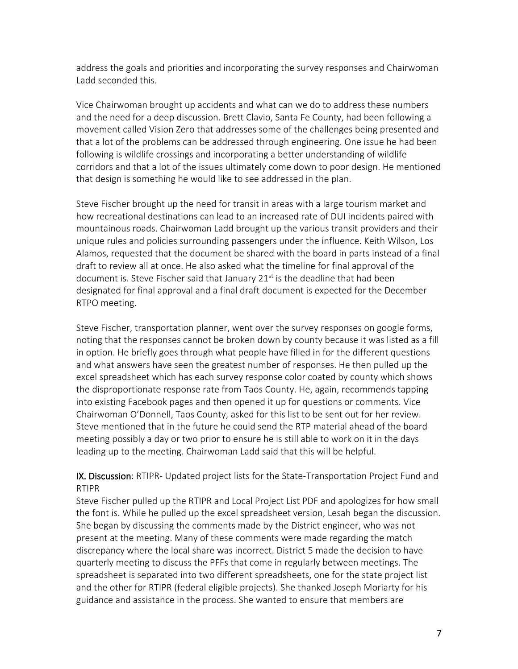address the goals and priorities and incorporating the survey responses and Chairwoman Ladd seconded this.

Vice Chairwoman brought up accidents and what can we do to address these numbers and the need for a deep discussion. Brett Clavio, Santa Fe County, had been following a movement called Vision Zero that addresses some of the challenges being presented and that a lot of the problems can be addressed through engineering. One issue he had been following is wildlife crossings and incorporating a better understanding of wildlife corridors and that a lot of the issues ultimately come down to poor design. He mentioned that design is something he would like to see addressed in the plan.

Steve Fischer brought up the need for transit in areas with a large tourism market and how recreational destinations can lead to an increased rate of DUI incidents paired with mountainous roads. Chairwoman Ladd brought up the various transit providers and their unique rules and policies surrounding passengers under the influence. Keith Wilson, Los Alamos, requested that the document be shared with the board in parts instead of a final draft to review all at once. He also asked what the timeline for final approval of the document is. Steve Fischer said that January 21<sup>st</sup> is the deadline that had been designated for final approval and a final draft document is expected for the December RTPO meeting.

Steve Fischer, transportation planner, went over the survey responses on google forms, noting that the responses cannot be broken down by county because it was listed as a fill in option. He briefly goes through what people have filled in for the different questions and what answers have seen the greatest number of responses. He then pulled up the excel spreadsheet which has each survey response color coated by county which shows the disproportionate response rate from Taos County. He, again, recommends tapping into existing Facebook pages and then opened it up for questions or comments. Vice Chairwoman O'Donnell, Taos County, asked for this list to be sent out for her review. Steve mentioned that in the future he could send the RTP material ahead of the board meeting possibly a day or two prior to ensure he is still able to work on it in the days leading up to the meeting. Chairwoman Ladd said that this will be helpful.

## IX. Discussion: RTIPR- Updated project lists for the State-Transportation Project Fund and RTIPR

Steve Fischer pulled up the RTIPR and Local Project List PDF and apologizes for how small the font is. While he pulled up the excel spreadsheet version, Lesah began the discussion. She began by discussing the comments made by the District engineer, who was not present at the meeting. Many of these comments were made regarding the match discrepancy where the local share was incorrect. District 5 made the decision to have quarterly meeting to discuss the PFFs that come in regularly between meetings. The spreadsheet is separated into two different spreadsheets, one for the state project list and the other for RTIPR (federal eligible projects). She thanked Joseph Moriarty for his guidance and assistance in the process. She wanted to ensure that members are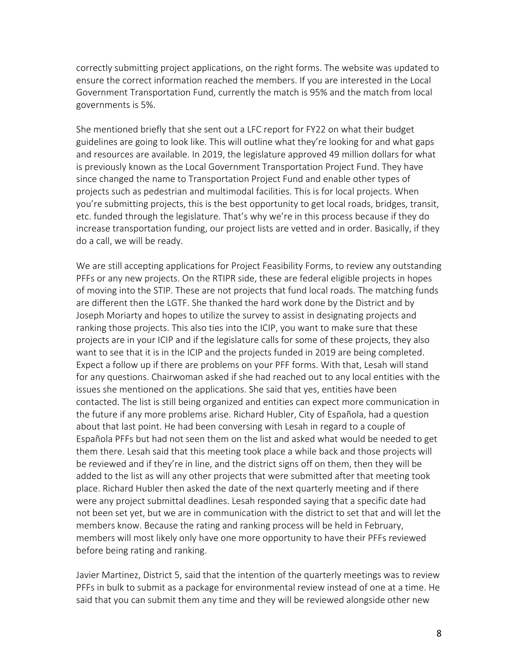correctly submitting project applications, on the right forms. The website was updated to ensure the correct information reached the members. If you are interested in the Local Government Transportation Fund, currently the match is 95% and the match from local governments is 5%.

She mentioned briefly that she sent out a LFC report for FY22 on what their budget guidelines are going to look like. This will outline what they're looking for and what gaps and resources are available. In 2019, the legislature approved 49 million dollars for what is previously known as the Local Government Transportation Project Fund. They have since changed the name to Transportation Project Fund and enable other types of projects such as pedestrian and multimodal facilities. This is for local projects. When you're submitting projects, this is the best opportunity to get local roads, bridges, transit, etc. funded through the legislature. That's why we're in this process because if they do increase transportation funding, our project lists are vetted and in order. Basically, if they do a call, we will be ready.

We are still accepting applications for Project Feasibility Forms, to review any outstanding PFFs or any new projects. On the RTIPR side, these are federal eligible projects in hopes of moving into the STIP. These are not projects that fund local roads. The matching funds are different then the LGTF. She thanked the hard work done by the District and by Joseph Moriarty and hopes to utilize the survey to assist in designating projects and ranking those projects. This also ties into the ICIP, you want to make sure that these projects are in your ICIP and if the legislature calls for some of these projects, they also want to see that it is in the ICIP and the projects funded in 2019 are being completed. Expect a follow up if there are problems on your PFF forms. With that, Lesah will stand for any questions. Chairwoman asked if she had reached out to any local entities with the issues she mentioned on the applications. She said that yes, entities have been contacted. The list is still being organized and entities can expect more communication in the future if any more problems arise. Richard Hubler, City of Española, had a question about that last point. He had been conversing with Lesah in regard to a couple of Española PFFs but had not seen them on the list and asked what would be needed to get them there. Lesah said that this meeting took place a while back and those projects will be reviewed and if they're in line, and the district signs off on them, then they will be added to the list as will any other projects that were submitted after that meeting took place. Richard Hubler then asked the date of the next quarterly meeting and if there were any project submittal deadlines. Lesah responded saying that a specific date had not been set yet, but we are in communication with the district to set that and will let the members know. Because the rating and ranking process will be held in February, members will most likely only have one more opportunity to have their PFFs reviewed before being rating and ranking.

Javier Martinez, District 5, said that the intention of the quarterly meetings was to review PFFs in bulk to submit as a package for environmental review instead of one at a time. He said that you can submit them any time and they will be reviewed alongside other new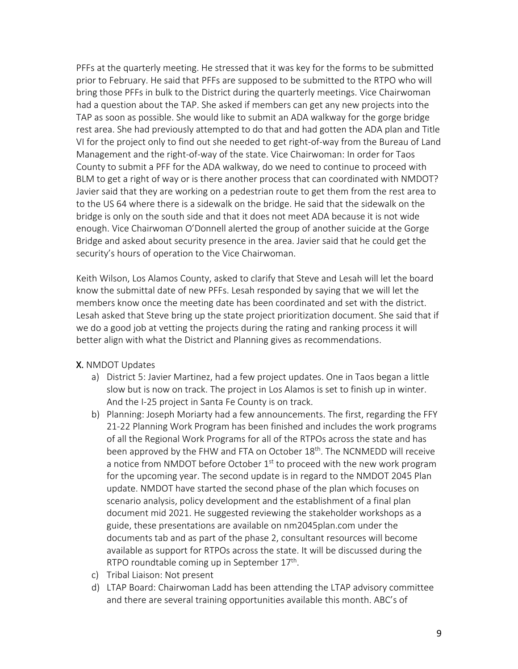PFFs at the quarterly meeting. He stressed that it was key for the forms to be submitted prior to February. He said that PFFs are supposed to be submitted to the RTPO who will bring those PFFs in bulk to the District during the quarterly meetings. Vice Chairwoman had a question about the TAP. She asked if members can get any new projects into the TAP as soon as possible. She would like to submit an ADA walkway for the gorge bridge rest area. She had previously attempted to do that and had gotten the ADA plan and Title VI for the project only to find out she needed to get right-of-way from the Bureau of Land Management and the right-of-way of the state. Vice Chairwoman: In order for Taos County to submit a PFF for the ADA walkway, do we need to continue to proceed with BLM to get a right of way or is there another process that can coordinated with NMDOT? Javier said that they are working on a pedestrian route to get them from the rest area to to the US 64 where there is a sidewalk on the bridge. He said that the sidewalk on the bridge is only on the south side and that it does not meet ADA because it is not wide enough. Vice Chairwoman O'Donnell alerted the group of another suicide at the Gorge Bridge and asked about security presence in the area. Javier said that he could get the security's hours of operation to the Vice Chairwoman.

Keith Wilson, Los Alamos County, asked to clarify that Steve and Lesah will let the board know the submittal date of new PFFs. Lesah responded by saying that we will let the members know once the meeting date has been coordinated and set with the district. Lesah asked that Steve bring up the state project prioritization document. She said that if we do a good job at vetting the projects during the rating and ranking process it will better align with what the District and Planning gives as recommendations.

## X. NMDOT Updates

- a) District 5: Javier Martinez, had a few project updates. One in Taos began a little slow but is now on track. The project in Los Alamos is set to finish up in winter. And the I-25 project in Santa Fe County is on track.
- b) Planning: Joseph Moriarty had a few announcements. The first, regarding the FFY 21-22 Planning Work Program has been finished and includes the work programs of all the Regional Work Programs for all of the RTPOs across the state and has been approved by the FHW and FTA on October 18<sup>th</sup>. The NCNMEDD will receive a notice from NMDOT before October  $1<sup>st</sup>$  to proceed with the new work program for the upcoming year. The second update is in regard to the NMDOT 2045 Plan update. NMDOT have started the second phase of the plan which focuses on scenario analysis, policy development and the establishment of a final plan document mid 2021. He suggested reviewing the stakeholder workshops as a guide, these presentations are available on nm2045plan.com under the documents tab and as part of the phase 2, consultant resources will become available as support for RTPOs across the state. It will be discussed during the RTPO roundtable coming up in September 17<sup>th</sup>.
- c) Tribal Liaison: Not present
- d) LTAP Board: Chairwoman Ladd has been attending the LTAP advisory committee and there are several training opportunities available this month. ABC's of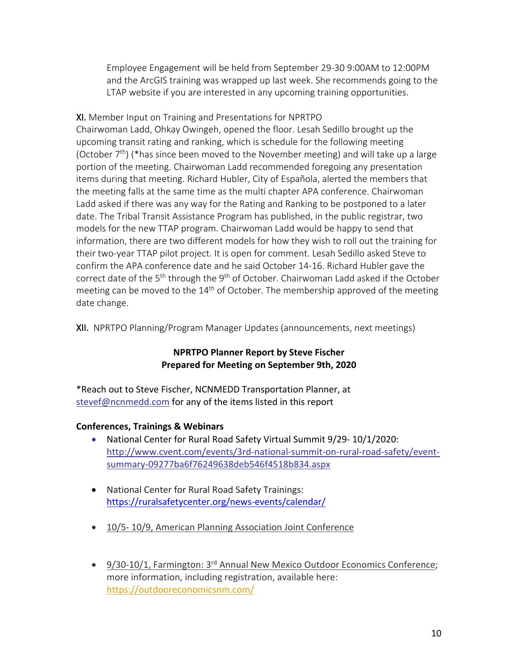Employee Engagement will be held from September 29-30 9:00AM to 12:00PM and the ArcGIS training was wrapped up last week. She recommends going to the LTAP website if you are interested in any upcoming training opportunities.

XI. Member Input on Training and Presentations for NPRTPO Chairwoman Ladd, Ohkay Owingeh, opened the floor. Lesah Sedillo brought up the upcoming transit rating and ranking, which is schedule for the following meeting (October  $7<sup>th</sup>$ ) (\*has since been moved to the November meeting) and will take up a large portion of the meeting. Chairwoman Ladd recommended foregoing any presentation items during that meeting. Richard Hubler, City of Española, alerted the members that the meeting falls at the same time as the multi chapter APA conference. Chairwoman Ladd asked if there was any way for the Rating and Ranking to be postponed to a later date. The Tribal Transit Assistance Program has published, in the public registrar, two models for the new TTAP program. Chairwoman Ladd would be happy to send that information, there are two different models for how they wish to roll out the training for their two-year TTAP pilot project. It is open for comment. Lesah Sedillo asked Steve to confirm the APA conference date and he said October 14-16. Richard Hubler gave the correct date of the  $5<sup>th</sup>$  through the  $9<sup>th</sup>$  of October. Chairwoman Ladd asked if the October meeting can be moved to the  $14<sup>th</sup>$  of October. The membership approved of the meeting date change.

XII. NPRTPO Planning/Program Manager Updates (announcements, next meetings)

#### **NPRTPO Planner Report by Steve Fischer Prepared for Meeting on September 9th, 2020**

\*Reach out to Steve Fischer, NCNMEDD Transportation Planner, at stevef@ncnmedd.com for any of the items listed in this report

#### **Conferences, Trainings & Webinars**

- National Center for Rural Road Safety Virtual Summit 9/29- 10/1/2020: http://www.cvent.com/events/3rd-national-summit-on-rural-road-safety/eventsummary-09277ba6f76249638deb546f4518b834.aspx
- National Center for Rural Road Safety Trainings: https://ruralsafetycenter.org/news-events/calendar/
- 10/5- 10/9, American Planning Association Joint Conference
- 9/30-10/1, Farmington: 3<sup>rd</sup> Annual New Mexico Outdoor Economics Conference; more information, including registration, available here: https://outdooreconomicsnm.com/